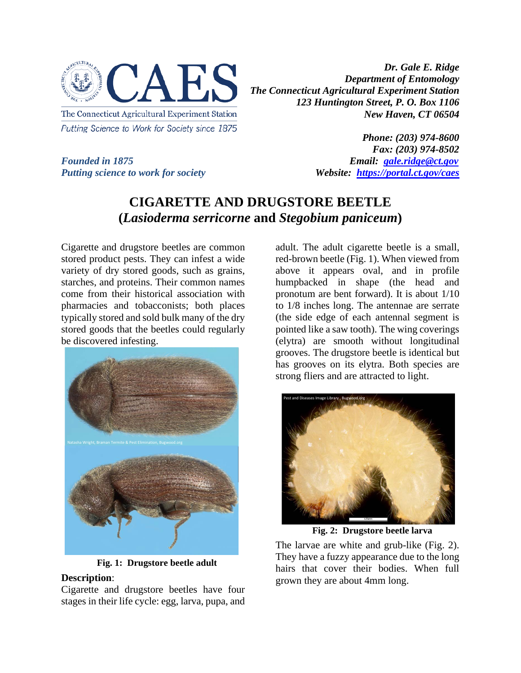

*Dr. Gale E. Ridge Department of Entomology The Connecticut Agricultural Experiment Station 123 Huntington Street, P. O. Box 1106 New Haven, CT 06504* 

*Putting science to work for society Website: <https://portal.ct.gov/caes>*

*Phone: (203) 974-8600 Fax: (203) 974-8502 Founded in 1875 Email: [gale.ridge@ct.gov](mailto:gale.ridge@ct.gov)*

# **CIGARETTE AND DRUGSTORE BEETLE (***Lasioderma serricorne* **and** *Stegobium paniceum***)**

Cigarette and drugstore beetles are common stored product pests. They can infest a wide variety of dry stored goods, such as grains, starches, and proteins. Their common names come from their historical association with pharmacies and tobacconists; both places typically stored and sold bulk many of the dry stored goods that the beetles could regularly be discovered infesting.



**Fig. 1: Drugstore beetle adult**

#### **Description**:

Cigarette and drugstore beetles have four stages in their life cycle: egg, larva, pupa, and adult. The adult cigarette beetle is a small, red-brown beetle (Fig. 1). When viewed from above it appears oval, and in profile humpbacked in shape (the head and pronotum are bent forward). It is about 1/10 to 1/8 inches long. The antennae are serrate (the side edge of each antennal segment is pointed like a saw tooth). The wing coverings (elytra) are smooth without longitudinal grooves. The drugstore beetle is identical but has grooves on its elytra. Both species are strong fliers and are attracted to light.



**Fig. 2: Drugstore beetle larva**

The larvae are white and grub-like (Fig. 2). They have a fuzzy appearance due to the long hairs that cover their bodies. When full grown they are about 4mm long.